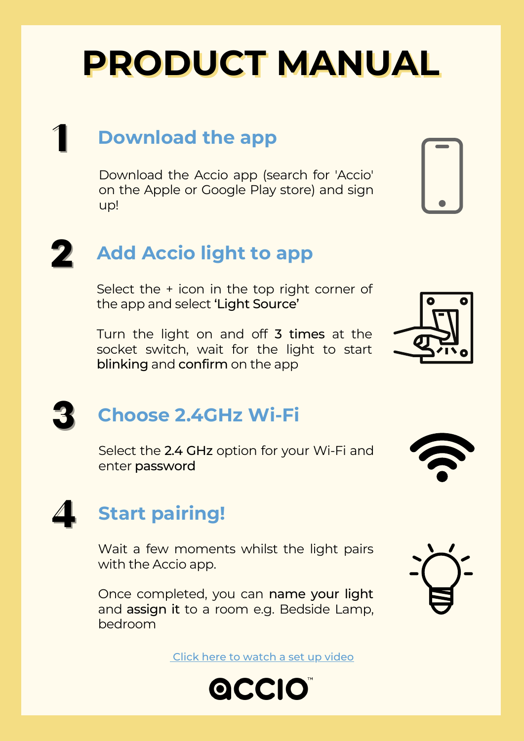# **PRODUCT MANUAL**

## 1 **Download the app**

Download the Accio app (search for 'Accio' on the Apple or Google Play store) and sign up!

## 2 **Add Accio light to app**

Select the + icon in the top right corner of the app and select 'Light Source'

Turn the light on and off 3 times at the socket switch, wait for the light to start blinking and confirm on the app



## 3 **Choose 2.4GHz Wi-Fi**

Select the 2.4 GHz option for your Wi-Fi and enter password



# 4 **Start pairing!**

Wait a few moments whilst the light pairs with the Accio app.

Once completed, you can name your light and assign it to a room e.g. Bedside Lamp, bedroom

Click here to [watch](http://www.acciohomes.com/support) a set up video



### OCCIO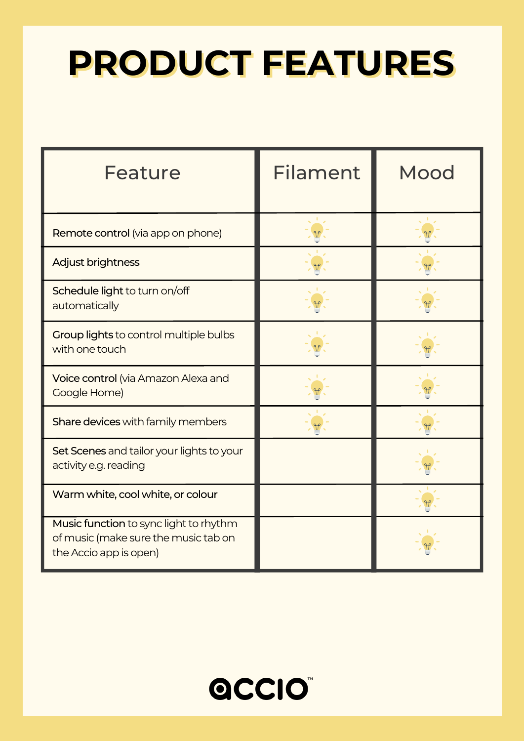# **PRODUCT FEATURES**

| <b>Feature</b>                                                                                           | <b>Filament</b> | Mood |
|----------------------------------------------------------------------------------------------------------|-----------------|------|
| Remote control (via app on phone)                                                                        |                 |      |
| Adjust brightness                                                                                        |                 |      |
| Schedule light to turn on/off<br>automatically                                                           |                 |      |
| Group lights to control multiple bulbs<br>with one touch                                                 |                 |      |
| Voice control (via Amazon Alexa and<br>Google Home)                                                      |                 |      |
| Share devices with family members                                                                        |                 |      |
| Set Scenes and tailor your lights to your<br>activity e.g. reading                                       |                 |      |
| Warm white, cool white, or colour                                                                        |                 |      |
| Music function to sync light to rhythm<br>of music (make sure the music tab on<br>the Accio app is open) |                 |      |

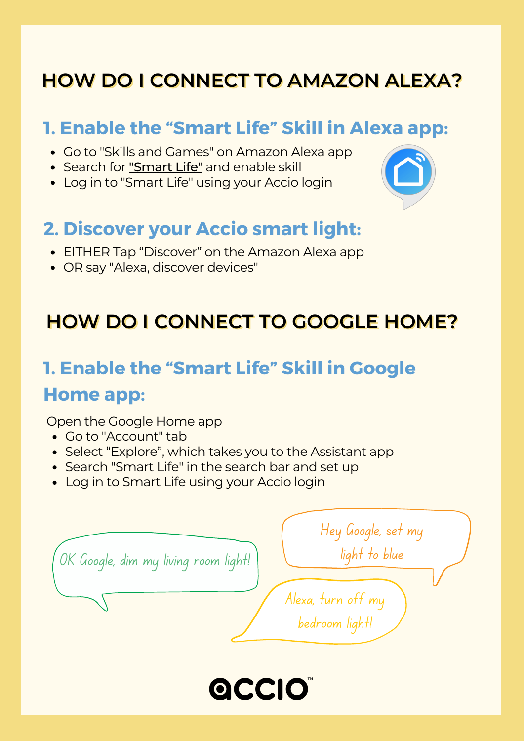### **HOW DO I CONNECT TO AMAZON ALEXA?**

### **1. Enable the "Smart Life" Skill in Alexa app:**

- Go to "Skills and Games" on Amazon Alexa app
- Search for "Smart Life" and enable skill
- Log in to "Smart Life" using your Accio login

### **2. Discover your Accio smart light:**

- EITHER Tap "Discover" on the Amazon Alexa app
- OR say "Alexa, discover devices"

### **HOW DO I CONNECT TO GOOGLE HOME?**

### **1. Enable the "Smart Life" Skill in Google**

#### **Home app:**

Open the Google Home app

- Go to "Account" tab
- Select "Explore", which takes you to the Assistant app
- Search "Smart Life" in the search bar and set up
- Log in to Smart Life using your Accio login

| ' OK Google, dim my living room light! | Hey Google, set my<br>light to blue  |
|----------------------------------------|--------------------------------------|
|                                        | Alexa, turn off my<br>bedroom light! |
|                                        |                                      |